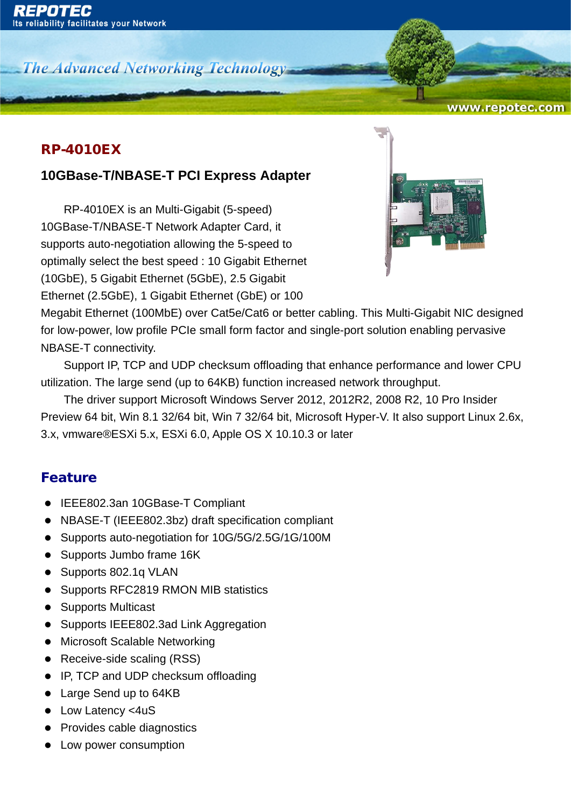**The Advanced Networking Technology-**

#### www.repotec.com

#### RP-4010EX

### **10GBase-T/NBASE-T PCI Express Adapter**

RP-4010EX is an Multi-Gigabit (5-speed) 10GBase-T/NBASE-T Network Adapter Card, it supports auto-negotiation allowing the 5-speed to optimally select the best speed : 10 Gigabit Ethernet (10GbE), 5 Gigabit Ethernet (5GbE), 2.5 Gigabit Ethernet (2.5GbE), 1 Gigabit Ethernet (GbE) or 100



Megabit Ethernet (100MbE) over Cat5e/Cat6 or better cabling. This Multi-Gigabit NIC designed for low-power, low profile PCIe small form factor and single-port solution enabling pervasive NBASE-T connectivity.

Support IP, TCP and UDP checksum offloading that enhance performance and lower CPU utilization. The large send (up to 64KB) function increased network throughput.

The driver support Microsoft Windows Server 2012, 2012R2, 2008 R2, 10 Pro Insider Preview 64 bit, Win 8.1 32/64 bit, Win 7 32/64 bit, Microsoft Hyper-V. It also support Linux 2.6x, 3.x, vmware®ESXi 5.x, ESXi 6.0, Apple OS X 10.10.3 or later

#### Feature

- IEEE802.3an 10GBase-T Compliant
- NBASE-T (IEEE802.3bz) draft specification compliant
- Supports auto-negotiation for 10G/5G/2.5G/1G/100M
- Supports Jumbo frame 16K
- Supports 802.1q VLAN
- Supports RFC2819 RMON MIB statistics
- Supports Multicast
- Supports IEEE802.3ad Link Aggregation
- Microsoft Scalable Networking
- Receive-side scaling (RSS)
- IP, TCP and UDP checksum offloading
- Large Send up to 64KB
- Low Latency <4uS
- Provides cable diagnostics
- Low power consumption